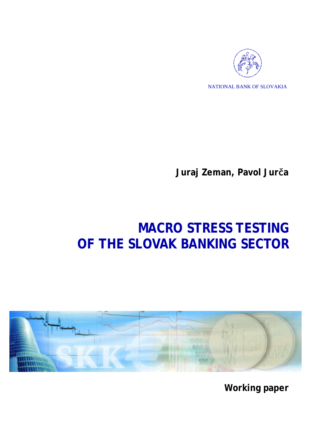

NATIONAL BANK OF SLOVAKIA

**Juraj Zeman, Pavol Jurča** 

# **MACRO STRESS TESTING OF THE SLOVAK BANKING SECTOR**



**Working paper**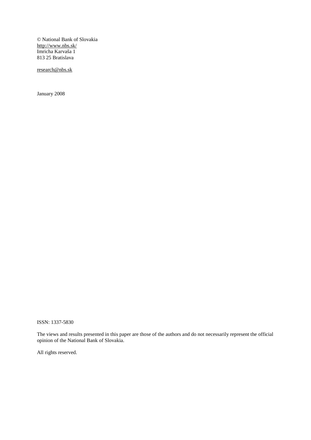© National Bank of Slovakia <http://www.nbs.sk/> Imricha Karvaša 1 813 25 Bratislava

[research@nbs.sk](mailto:research@nbs.sk)

January 2008

ISSN: 1337-5830

The views and results presented in this paper are those of the authors and do not necessarily represent the official opinion of the National Bank of Slovakia.

All rights reserved.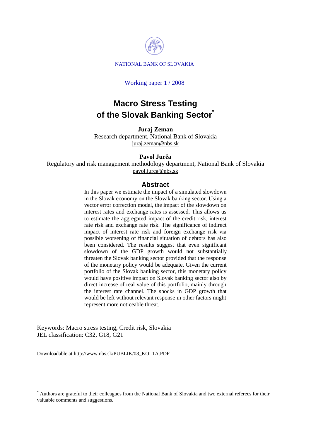

### Working paper 1 / 2008

# **Macro Stress Testing of the Slovak Banking Sector\***

**Juraj Zeman**  Research department, National Bank of Slovakia [juraj.zeman@nbs.sk](mailto:juraj.zeman@nbs.sk)

### **Pavol Jurča**

Regulatory and risk management methodology department, National Bank of Slovakia [pavol.jurca@nbs.sk](mailto:pavol.jurca@nbs.sk)

### **Abstract**

In this paper we estimate the impact of a simulated slowdown in the Slovak economy on the Slovak banking sector. Using a vector error correction model, the impact of the slowdown on interest rates and exchange rates is assessed. This allows us to estimate the aggregated impact of the credit risk, interest rate risk and exchange rate risk. The significance of indirect impact of interest rate risk and foreign exchange risk via possible worsening of financial situation of debtors has also been considered. The results suggest that even significant slowdown of the GDP growth would not substantially threaten the Slovak banking sector provided that the response of the monetary policy would be adequate. Given the current portfolio of the Slovak banking sector, this monetary policy would have positive impact on Slovak banking sector also by direct increase of real value of this portfolio, mainly through the interest rate channel. The shocks in GDP growth that would be left without relevant response in other factors might represent more noticeable threat.

Keywords: Macro stress testing, Credit risk, Slovakia JEL classification: C32, G18, G21

Downloadable at [http://www.nbs.sk/PUBLIK/08\\_KOL1A.PDF](http://www.nbs.sk/PUBLIK/08_KOL1A.PDF)

<sup>\*</sup> Authors are grateful to their colleagues from the National Bank of Slovakia and two external referees for their valuable comments and suggestions.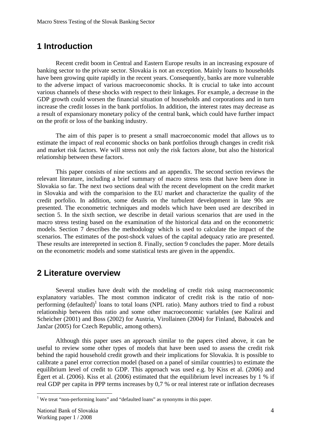# **1 Introduction**

Recent credit boom in Central and Eastern Europe results in an increasing exposure of banking sector to the private sector. Slovakia is not an exception. Mainly loans to households have been growing quite rapidly in the recent years. Consequently, banks are more vulnerable to the adverse impact of various macroeconomic shocks. It is crucial to take into account various channels of these shocks with respect to their linkages. For example, a decrease in the GDP growth could worsen the financial situation of households and corporations and in turn increase the credit losses in the bank portfolios. In addition, the interest rates may decrease as a result of expansionary monetary policy of the central bank, which could have further impact on the profit or loss of the banking industry.

The aim of this paper is to present a small macroeconomic model that allows us to estimate the impact of real economic shocks on bank portfolios through changes in credit risk and market risk factors. We will stress not only the risk factors alone, but also the historical relationship between these factors.

This paper consists of nine sections and an appendix. The second section reviews the relevant literature, including a brief summary of macro stress tests that have been done in Slovakia so far. The next two sections deal with the recent development on the credit market in Slovakia and with the comparision to the EU market and characterize the quality of the credit porfolio. In addition, some details on the turbulent development in late 90s are presented. The econometric techniques and models which have been used are described in section 5. In the sixth section, we describe in detail various scenarios that are used in the macro stress testing based on the examination of the historical data and on the econometric models. Section 7 describes the methodology which is used to calculate the impact of the scenarios. The estimates of the post-shock values of the capital adequacy ratio are presented. These results are interepreted in section 8. Finally, section 9 concludes the paper. More details on the econometric models and some statistical tests are given in the appendix.

# **2 Literature overview**

Several studies have dealt with the modeling of credit risk using macroeconomic explanatory variables. The most common indicator of credit risk is the ratio of nonperforming (defaulted)<sup>1</sup> loans to total loans (NPL ratio). Many authors tried to find a robust relationship between this ratio and some other macroeconomic variables (see Kalirai and Scheicher (2001) and Boss (2002) for Austria, Virollainen (2004) for Finland, Babouček and Jančar (2005) for Czech Republic, among others).

Although this paper uses an approach similar to the papers cited above, it can be useful to review some other types of models that have been used to assess the credit risk behind the rapid household credit growth and their implications for Slovakia. It is possible to calibrate a panel error correction model (based on a panel of similar countries) to estimate the equilibrium level of credit to GDP. This approach was used e.g. by Kiss et al. (2006) and Égert et al. (2006). Kiss et al. (2006) estimated that the equilibrium level increases by 1 % if real GDP per capita in PPP terms increases by 0,7 % or real interest rate or inflation decreases

<sup>&</sup>lt;sup>1</sup> We treat "non-performing loans" and "defaulted loans" as synonyms in this paper.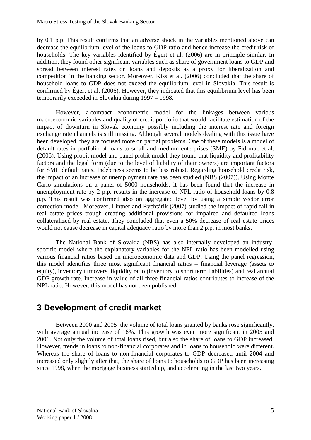by 0,1 p.p. This result confirms that an adverse shock in the variables mentioned above can decrease the equilibrium level of the loans-to-GDP ratio and hence increase the credit risk of households. The key variables identified by Égert et al. (2006) are in principle similar. In addition, they found other significant variables such as share of government loans to GDP and spread between interest rates on loans and deposits as a proxy for liberalization and competition in the banking sector. Moreover, Kiss et al. (2006) concluded that the share of household loans to GDP does not exceed the equilibrium level in Slovakia. This result is confirmed by Égert et al. (2006). However, they indicated that this equilibrium level has been temporarily exceeded in Slovakia during 1997 – 1998.

However, a compact econometric model for the linkages between various macroeconomic variables and quality of credit portfolio that would facilitate estimation of the impact of downturn in Slovak economy possibly including the interest rate and foreign exchange rate channels is still missing. Although several models dealing with this issue have been developed, they are focused more on partial problems. One of these models is a model of default rates in portfolio of loans to small and medium enterprises (SME) by Fidrmuc et al. (2006). Using probit model and panel probit model they found that liquidity and profitability factors and the legal form (due to the level of liability of their owners) are important factors for SME default rates. Indebtness seems to be less robust. Regarding household credit risk, the impact of an increase of unemployment rate has been studied (NBS (2007)). Using Monte Carlo simulations on a panel of 5000 households, it has been found that the increase in unemployment rate by 2 p.p. results in the increase of NPL ratio of household loans by 0.8 p.p. This result was confirmed also on aggregated level by using a simple vector error correction model. Moreover, Lintner and Rychtárik (2007) studied the impact of rapid fall in real estate prices trough creating additional provisions for impaired and defaulted loans collateralized by real estate. They concluded that even a 50% decrease of real estate prices would not cause decrease in capital adequacy ratio by more than 2 p.p. in most banks.

The National Bank of Slovakia (NBS) has also internally developed an industryspecific model where the explanatory variables for the NPL ratio has been modelled using various financial ratios based on microeconomic data and GDP. Using the panel regression, this model identifies three most significant financial ratios – financial leverage (assets to equity), inventory turnovers, liquidity ratio (inventory to short term liabilities) and real annual GDP growth rate. Increase in value of all three financial ratios contributes to increase of the NPL ratio. However, this model has not been published.

# **3 Development of credit market**

Between 2000 and 2005 the volume of total loans granted by banks rose significantly, with average annual increase of 16%. This growth was even more significant in 2005 and 2006. Not only the volume of total loans rised, but also the share of loans to GDP increased. However, trends in loans to non-financial corporates and in loans to household were different. Whereas the share of loans to non-financial corporates to GDP decreased until 2004 and increased only slightly after that, the share of loans to households to GDP has been increasing since 1998, when the mortgage business started up, and accelerating in the last two years.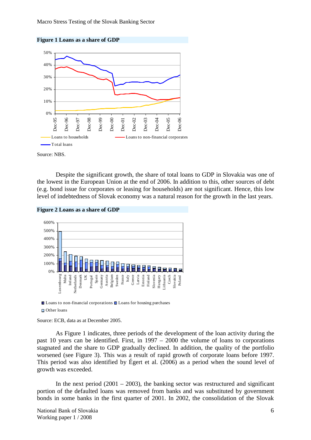



Source: NBS.

Despite the significant growth, the share of total loans to GDP in Slovakia was one of the lowest in the European Union at the end of 2006. In addition to this, other sources of debt (e.g. bond issue for corporates or leasing for households) are not significant. Hence, this low level of indebtedness of Slovak economy was a natural reason for the growth in the last years.





Loans to non-financial corporations Loans for housing purchases □ Other loans

Source: ECB, data as at December 2005.

As Figure 1 indicates, three periods of the development of the loan activity during the past 10 years can be identified. First, in 1997 – 2000 the volume of loans to corporations stagnated and the share to GDP gradually declined. In addition, the quality of the portfolio worsened (see Figure 3). This was a result of rapid growth of corporate loans before 1997. This period was also identified by Égert et al. (2006) as a period when the sound level of growth was exceeded.

In the next period  $(2001 - 2003)$ , the banking sector was restructured and significant portion of the defaulted loans was removed from banks and was substituted by government bonds in some banks in the first quarter of 2001. In 2002, the consolidation of the Slovak

National Bank of Slovakia6 Working paper 1 / 2008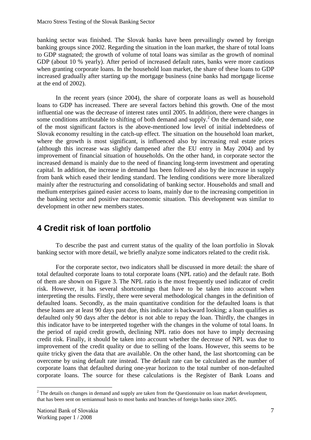banking sector was finished. The Slovak banks have been prevailingly owned by foreign banking groups since 2002. Regarding the situation in the loan market, the share of total loans to GDP stagnated; the growth of volume of total loans was similar as the growth of nominal GDP (about 10 % yearly). After period of increased default rates, banks were more cautious when granting corporate loans. In the household loan market, the share of these loans to GDP increased gradually after starting up the mortgage business (nine banks had mortgage license at the end of 2002).

In the recent years (since 2004), the share of corporate loans as well as household loans to GDP has increased. There are several factors behind this growth. One of the most influential one was the decrease of interest rates until 2005. In addition, there were changes in some conditions attributable to shifting of both demand and supply.<sup>2</sup> On the demand side, one of the most significant factors is the above-mentioned low level of initial indebtedness of Slovak economy resulting in the catch-up effect. The situation on the household loan market, where the growth is most significant, is influenced also by increasing real estate prices (although this increase was slightly dampened after the EU entry in May 2004) and by improvement of financial situation of households. On the other hand, in corporate sector the increased demand is mainly due to the need of financing long-term investment and operating capital. In addition, the increase in demand has been followed also by the increase in supply from bank which eased their lending standard. The lending conditions were more liberalized mainly after the restructuring and consolidating of banking sector. Households and small and medium enterprises gained easier access to loans, mainly due to the increasing competition in the banking sector and positive macroeconomic situation. This development was similar to development in other new members states.

# **4 Credit risk of loan portfolio**

To describe the past and current status of the quality of the loan portfolio in Slovak banking sector with more detail, we briefly analyze some indicators related to the credit risk.

For the corporate sector, two indicators shall be discussed in more detail: the share of total defaulted corporate loans to total corporate loans (NPL ratio) and the default rate. Both of them are shown on Figure 3. The NPL ratio is the most frequently used indicator of credit risk. However, it has several shortcomings that have to be taken into account when interpreting the results. Firstly, there were several methodological changes in the definition of defaulted loans. Secondly, as the main quantitative condition for the defaulted loans is that these loans are at least 90 days past due, this indicator is backward looking; a loan qualifies as defaulted only 90 days after the debtor is not able to repay the loan. Thirdly, the changes in this indicator have to be interpreted together with the changes in the volume of total loans. In the period of rapid credit growth, declining NPL ratio does not have to imply decreasing credit risk. Finally, it should be taken into account whether the decrease of NPL was due to improvement of the credit quality or due to selling of the loans. However, this seems to be quite tricky given the data that are available. On the other hand, the last shortcoming can be overcome by using default rate instead. The default rate can be calculated as the number of corporate loans that defaulted during one-year horizon to the total number of non-defaulted corporate loans. The source for these calculations is the Register of Bank Loans and

  $2<sup>2</sup>$  The details on changes in demand and supply are taken from the Questionnaire on loan market development, that has been sent on semiannual basis to most banks and branches of foreign banks since 2005.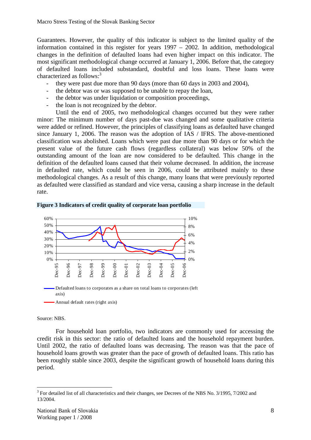Guarantees. However, the quality of this indicator is subject to the limited quality of the information contained in this register for years 1997 – 2002. In addition, methodological changes in the definition of defaulted loans had even higher impact on this indicator. The most significant methodological change occurred at January 1, 2006. Before that, the category of defaulted loans included substandard, doubtful and loss loans. These loans were characterized as follows:<sup>3</sup>

- they were past due more than 90 days (more than 60 days in 2003 and 2004),
- the debtor was or was supposed to be unable to repay the loan,
- the debtor was under liquidation or composition proceedings,
- the loan is not recognized by the debtor.

Until the end of 2005, two methodological changes occurred but they were rather minor: The minimum number of days past-due was changed and some qualitative criteria were added or refined. However, the principles of classifying loans as defaulted have changed since January 1, 2006. The reason was the adoption of IAS / IFRS. The above-mentioned classification was abolished. Loans which were past due more than 90 days or for which the present value of the future cash flows (regardless collateral) was below 50% of the outstanding amount of the loan are now considered to be defaulted. This change in the definition of the defaulted loans caused that their volume decreased. In addition, the increase in defaulted rate, which could be seen in 2006, could be attributed mainly to these methodological changes. As a result of this change, many loans that were previously reported as defaulted were classified as standard and vice versa, causing a sharp increase in the default rate.





Source: NBS.

For household loan portfolio, two indicators are commonly used for accessing the credit risk in this sector: the ratio of defaulted loans and the household repayment burden. Until 2002, the ratio of defaulted loans was decreasing. The reason was that the pace of household loans growth was greater than the pace of growth of defaulted loans. This ratio has been roughly stable since 2003, despite the significant growth of household loans during this period.

 $3$  For detailed list of all characteristics and their changes, see Decrees of the NBS No. 3/1995, 7/2002 and 13/2004.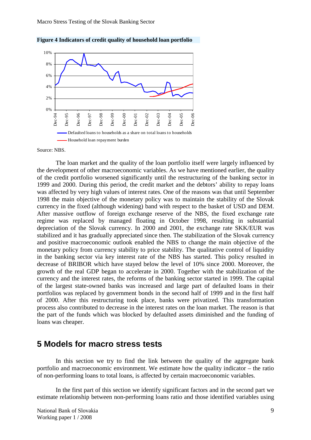

**Figure 4 Indicators of credit quality of household loan portfolio** 

Source: NBS.

The loan market and the quality of the loan portfolio itself were largely influenced by the development of other macroeconomic variables. As we have mentioned earlier, the quality of the credit portfolio worsened significantly until the restructuring of the banking sector in 1999 and 2000. During this period, the credit market and the debtors' ability to repay loans was affected by very high values of interest rates. One of the reasons was that until September 1998 the main objective of the monetary policy was to maintain the stability of the Slovak currency in the fixed (although widening) band with respect to the basket of USD and DEM. After massive outflow of foreign exchange reserve of the NBS, the fixed exchange rate regime was replaced by managed floating in October 1998, resulting in substantial depreciation of the Slovak currency. In 2000 and 2001, the exchange rate SKK/EUR was stabilized and it has gradually appreciated since then. The stabilization of the Slovak currency and positive macroeconomic outlook enabled the NBS to change the main objective of the monetary policy from currency stability to price stability. The qualitative control of liquidity in the banking sector via key interest rate of the NBS has started. This policy resulted in decrease of BRIBOR which have stayed below the level of 10% since 2000. Moreover, the growth of the real GDP began to accelerate in 2000. Together with the stabilization of the currency and the interest rates, the reforms of the banking sector started in 1999. The capital of the largest state-owned banks was increased and large part of defaulted loans in their portfolios was replaced by government bonds in the second half of 1999 and in the first half of 2000. After this restructuring took place, banks were privatized. This transformation process also contributed to decrease in the interest rates on the loan market. The reason is that the part of the funds which was blocked by defaulted assets diminished and the funding of loans was cheaper.

## **5 Models for macro stress tests**

In this section we try to find the link between the quality of the aggregate bank portfolio and macroeconomic environment. We estimate how the quality indicator – the ratio of non-performing loans to total loans, is affected by certain macroeconomic variables.

In the first part of this section we identify significant factors and in the second part we estimate relationship between non-performing loans ratio and those identified variables using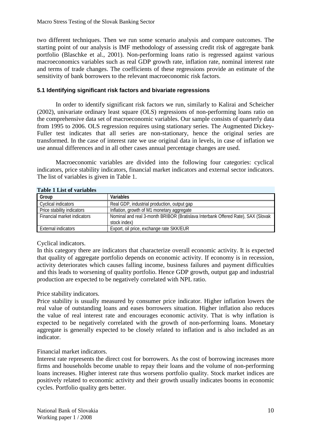two different techniques. Then we run some scenario analysis and compare outcomes. The starting point of our analysis is IMF methodology of assessing credit risk of aggregate bank portfolio (Blaschke et al., 2001). Non-performing loans ratio is regressed against various macroeconomics variables such as real GDP growth rate, inflation rate, nominal interest rate and terms of trade changes. The coefficients of these regressions provide an estimate of the sensitivity of bank borrowers to the relevant macroeconomic risk factors.

### **5.1 Identifying significant risk factors and bivariate regressions**

In order to identify significant risk factors we run, similarly to Kalirai and Scheicher (2002), univariate ordinary least square (OLS) regressions of non-performing loans ratio on the comprehensive data set of macroeconomic variables. Our sample consists of quarterly data from 1995 to 2006. OLS regression requires using stationary series. The Augmented Dickey-Fuller test indicates that all series are non-stationary, hence the original series are transformed. In the case of interest rate we use original data in levels, in case of inflation we use annual differences and in all other cases annual percentage changes are used.

Macroeconomic variables are divided into the following four categories: cyclical indicators, price stability indicators, financial market indicators and external sector indicators. The list of variables is given in Table 1.

| Table T List of Variables   |                                                                                  |
|-----------------------------|----------------------------------------------------------------------------------|
| Group                       | Variables                                                                        |
| Cyclical indicators         | Real GDP, industrial production, output gap                                      |
| Price stability indicators  | Inflation, growth of M1 monetary aggregate                                       |
| Financial market indicators | Nominal and real 3-month BRIBOR (Bratislava Interbank Offered Rate), SAX (Slovak |
|                             | stock index)                                                                     |
| External indicators         | Export, oil price, exchange rate SKK/EUR                                         |

# **Table 1 List of variables**

### Cyclical indicators.

In this category there are indicators that characterize overall economic activity. It is expected that quality of aggregate portfolio depends on economic activity. If economy is in recession, activity deteriorates which causes falling income, business failures and payment difficulties and this leads to worsening of quality portfolio. Hence GDP growth, output gap and industrial production are expected to be negatively correlated with NPL ratio.

### Price stability indicators.

Price stability is usually measured by consumer price indicator. Higher inflation lowers the real value of outstanding loans and eases borrowers situation. Higher inflation also reduces the value of real interest rate and encourages economic activity. That is why inflation is expected to be negatively correlated with the growth of non-performing loans. Monetary aggregate is generally expected to be closely related to inflation and is also included as an indicator.

### Financial market indicators.

Interest rate represents the direct cost for borrowers. As the cost of borrowing increases more firms and households become unable to repay their loans and the volume of non-performing loans increases. Higher interest rate thus worsens portfolio quality. Stock market indices are positively related to economic activity and their growth usually indicates booms in economic cycles. Portfolio quality gets better.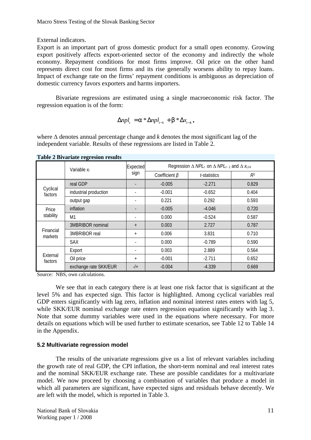External indicators.

Export is an important part of gross domestic product for a small open economy. Growing export positively affects export-oriented sector of the economy and indirectly the whole economy. Repayment conditions for most firms improve. Oil price on the other hand represents direct cost for most firms and its rise generally worsens ability to repay loans. Impact of exchange rate on the firms' repayment conditions is ambiguous as depreciation of domestic currency favors exporters and harms importers.

Bivariate regressions are estimated using a single macroeconomic risk factor. The regression equation is of the form:

$$
\Delta npl_{t} = a * \Delta npl_{t-1} + b * \Delta x_{t-k},
$$

where ∆ denotes annual percentage change and *k* denotes the most significant lag of the independent variable. Results of these regressions are listed in Table 2.

|                      | Variable x <sub>i</sub> | Expected       | Regression $\Delta$ NPL <sub>t</sub> on $\Delta$ NPL <sub>t-1</sub> and $\Delta$ $x_{i,t+k}$ |              |       |  |
|----------------------|-------------------------|----------------|----------------------------------------------------------------------------------------------|--------------|-------|--|
|                      |                         | sign           | Coefficient $\beta$                                                                          | t-statistics | $R^2$ |  |
|                      | real GDP                |                | $-0.005$                                                                                     | $-2.271$     | 0.829 |  |
| Cyclical<br>factors  | industrial production   |                | $-0.001$                                                                                     | $-0.652$     | 0.404 |  |
|                      | output gap              |                | 0.221                                                                                        | 0.292        | 0.593 |  |
| Price<br>stability   | inflation               |                | $-0.005$                                                                                     | $-4.046$     | 0.720 |  |
|                      | M1                      | $\blacksquare$ | 0.000                                                                                        | $-0.524$     | 0.587 |  |
| Financial<br>markets | 3MBRIBOR nominal        | $+$            | 0.003                                                                                        | 2.727        | 0.787 |  |
|                      | 3MBRIBOR real           | $+$            | 0.006                                                                                        | 3.831        | 0.710 |  |
|                      | <b>SAX</b>              |                | 0.000                                                                                        | $-0.789$     | 0.590 |  |
|                      | Export                  |                | 0.003                                                                                        | 2.889        | 0.564 |  |
| External<br>factors  | Oil price               | $+$            | $-0.001$                                                                                     | $-2.711$     | 0.652 |  |
|                      | exchange rate SKK/EUR   | $-1$           | $-0.004$                                                                                     | $-4.339$     | 0.669 |  |

**Table 2 Bivariate regresion results** 

Source: NBS, own calculations.

We see that in each category there is at least one risk factor that is significant at the level 5% and has expected sign. This factor is highlighted. Among cyclical variables real GDP enters significantly with lag zero, inflation and nominal interest rates enters with lag 5, while SKK/EUR nominal exchange rate enters regression equation significantly with lag 3. Note that some dummy variables were used in the equations where necessary. For more details on equations which will be used further to estimate scenarios, see Table 12 to Table 14 in the Appendix.

### **5.2 Multivariate regression model**

The results of the univariate regressions give us a list of relevant variables including the growth rate of real GDP, the CPI inflation, the short-term nominal and real interest rates and the nominal SKK/EUR exchange rate. These are possible candidates for a multivariate model. We now proceed by choosing a combination of variables that produce a model in which all parameters are significant, have expected signs and residuals behave decently. We are left with the model, which is reported in Table 3.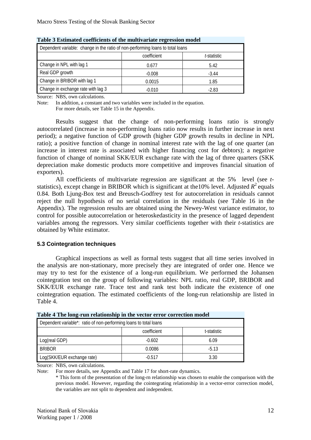| Dependent variable: change in the ratio of non-performing loans to total loans |          |         |  |  |  |  |
|--------------------------------------------------------------------------------|----------|---------|--|--|--|--|
| coefficient<br>t-statistic                                                     |          |         |  |  |  |  |
| Change in NPL with lag 1                                                       | 0.677    | 5.42    |  |  |  |  |
| Real GDP growth                                                                | $-0.008$ | $-3.44$ |  |  |  |  |
| Change in BRIBOR with lag 1                                                    | 0.0015   | 1.85    |  |  |  |  |
| Change in exchange rate with lag 3                                             | $-0.010$ | -2.83   |  |  |  |  |

**Table 3 Estimated coefficients of the multivariate regression model** 

Source: NBS, own calculations.

Note: In addition, a constant and two variables were included in the equation. For more details, see Table 15 in the Appendix.

Results suggest that the change of non-performing loans ratio is strongly autocorrelated (increase in non-performing loans ratio now results in further increase in next period); a negative function of GDP growth (higher GDP growth results in decline in NPL ratio); a positive function of change in nominal interest rate with the lag of one quarter (an increase in interest rate is associated with higher financing cost for debtors); a negative function of change of nominal SKK/EUR exchange rate with the lag of three quarters (SKK depreciation make domestic products more competitive and improves financial situation of exporters).

All coefficients of multivariate regression are significant at the 5% level (see *t*statistics), except change in BRIBOR which is significant at the 10% level. Adjusted  $R^2$  equals 0.84. Both Ljung-Box test and Breusch-Godfrey test for autocorrelation in residuals cannot reject the null hypothesis of no serial correlation in the residuals (see Table 16 in the Appendix). The regression results are obtained using the Newey-West variance estimator, to control for possible autocorrelation or heteroskedasticity in the presence of lagged dependent variables among the regressors. Very similar coefficients together with their *t*-statistics are obtained by White estimator.

### **5.3 Cointegration techniques**

Graphical inspections as well as formal tests suggest that all time series involved in the analysis are non-stationary, more precisely they are integrated of order one. Hence we may try to test for the existence of a long-run equilibrium. We performed the Johansen cointegration test on the group of following variables: NPL ratio, real GDP, BRIBOR and SKK/EUR exchange rate. Trace test and rank test both indicate the existence of one cointegration equation. The estimated coefficients of the long-run relationship are listed in Table 4.

| Table + The folig-full relationship in the vector circuit correction model |          |         |  |  |  |  |  |  |
|----------------------------------------------------------------------------|----------|---------|--|--|--|--|--|--|
| Dependent variable*: ratio of non-performing loans to total loans          |          |         |  |  |  |  |  |  |
| coefficient<br>t-statistic                                                 |          |         |  |  |  |  |  |  |
| Log(real GDP)                                                              | $-0.602$ | 6.09    |  |  |  |  |  |  |
| <b>BRIBOR</b>                                                              | 0.0086   | $-5.13$ |  |  |  |  |  |  |
| Log(SKK/EUR exchange rate)                                                 | $-0.517$ | 3.30    |  |  |  |  |  |  |

Source: NBS, own calculations.

Note: For more details, see Appendix and Table 17 for short-rate dynamics.

\* This form of the presentation of the long-rn relationship was chosen to enable the comparison with the previous model. However, regarding the cointegrating relationship in a vector-error correction model, the variables are not split to dependent and independent.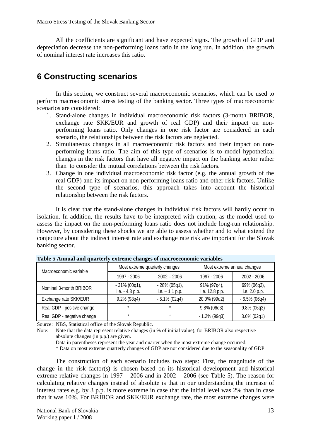All the coefficients are significant and have expected signs. The growth of GDP and depreciation decrease the non-performing loans ratio in the long run. In addition, the growth of nominal interest rate increases this ratio.

# **6 Constructing scenarios**

In this section, we construct several macroeconomic scenarios, which can be used to perform macroeconomic stress testing of the banking sector. Three types of macroeconomic scenarios are considered:

- 1. Stand-alone changes in individual macroeconomic risk factors (3-month BRIBOR, exchange rate SKK/EUR and growth of real GDP) and their impact on nonperforming loans ratio. Only changes in one risk factor are considered in each scenario, the relationships between the risk factors are neglected.
- 2. Simultaneous changes in all macroeconomic risk factors and their impact on nonperforming loans ratio. The aim of this type of scenarios is to model hypothetical changes in the risk factors that have all negative impact on the banking sector rather than to consider the mutual correlations between the risk factors.
- 3. Change in one individual macroeconomic risk factor (e.g. the annual growth of the real GDP) and its impact on non-performing loans ratio and other risk factors. Unlike the second type of scenarios, this approach takes into account the historical relationship between the risk factors.

It is clear that the stand-alone changes in individual risk factors will hardly occur in isolation. In addition, the results have to be interpreted with caution, as the model used to assess the impact on the non-performing loans ratio does not include long-run relationship. However, by considering these shocks we are able to assess whether and to what extend the conjecture about the indirect interest rate and exchange rate risk are important for the Slovak banking sector.

| Macroeconomic variable     |                                     | Most extreme quarterly changes      | Most extreme annual changes   |                              |  |
|----------------------------|-------------------------------------|-------------------------------------|-------------------------------|------------------------------|--|
|                            | 1997 - 2006                         | $2002 - 2006$                       | 1997 - 2006                   | 2002 - 2006                  |  |
| Nominal 3-month BRIBOR     | $-31\% (00q1)$ ,<br>i.e. - 4.3 p.p. | $-28\%$ (05q1),<br>i.e. $-1.1$ p.p. | 91% (97q4),<br>i.e. 12.8 p.p. | 69% (06q3),<br>i.e. 2.0 p.p. |  |
| Exchange rate SKK/EUR      | 9.2% (98q4)                         | $-5.1\% (02q4)$                     | 20.0% (99q2)                  | $-6.5\%$ (06q4)              |  |
| Real GDP - positive change | $\star$                             | $\star$                             | $9.8\%$ (06q3)                | $9.8\%$ (06q3)               |  |
| Real GDP - negative change | $\star$                             | $\star$                             | $-1.2\%$ (99q3)               | $3.6\% (02q1)$               |  |

| Table 5 Annual and quarterly extreme changes of macroeconomic variables |  |
|-------------------------------------------------------------------------|--|
|-------------------------------------------------------------------------|--|

Source: NBS, Statistical office of the Slovak Republic.

Note: Note that the data represent relative changes (in % of initial value), for BRIBOR also respective absolute changes (in p.p.) are given.

Data in parentheses represent the year and quarter when the most extreme change occurred.

\* Data on most extreme quarterly changes of GDP are not considered due to the seasonality of GDP.

The construction of each scenario includes two steps: First, the magnitude of the change in the risk factor(s) is chosen based on its historical development and historical extreme relative changes in  $1997 - 2006$  and in  $2002 - 2006$  (see Table 5). The reason for calculating relative changes instead of absolute is that in our understanding the increase of interest rates e.g. by 3 p.p. is more extreme in case that the initial level was 2% than in case that it was 10%. For BRIBOR and SKK/EUR exchange rate, the most extreme changes were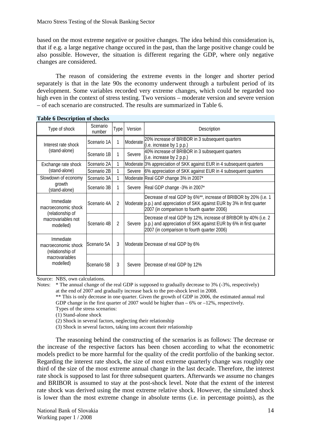based on the most extreme negative or positive changes. The idea behind this consideration is, that if e.g. a large negative change occured in the past, than the large positive change could be also possible. However, the situation is different regaring the GDP, where only negative changes are considered.

The reason of considering the extreme events in the longer and shorter period separately is that in the late 90s the economy underwent through a turbulent period of its development. Some variables recorded very extreme changes, which could be regarded too high even in the context of stress testing. Two versions – moderate version and severe version – of each scenario are constructed. The results are summarized in Table 6.

| Type of shock                                        | Scenario<br>number | Type           | Version  | Description                                                                                                                                                                                  |
|------------------------------------------------------|--------------------|----------------|----------|----------------------------------------------------------------------------------------------------------------------------------------------------------------------------------------------|
| Interest rate shock                                  | Scenario 1A        | 1              | Moderate | 20% increase of BRIBOR in 3 subsequent quarters<br>(i.e. increase by 1 p.p.)                                                                                                                 |
| (stand-alone)                                        | Scenario 1B        | 1              | Severe   | 40% increase of BRIBOR in 3 subsequent quarters<br>(i.e. increase by 2 p.p.)                                                                                                                 |
| Exchange rate shock                                  | Scenario 2A        | 1              |          | Moderate 3% appreciation of SKK against EUR in 4 subsequent quarters                                                                                                                         |
| (stand-alone)                                        | Scenario 2B        | 1              | Severe   | 6% appreciation of SKK against EUR in 4 subsequent quarters                                                                                                                                  |
| Slowdown of economy                                  | Scenario 3A        | 1              |          | Moderate Real GDP change 3% in 2007*                                                                                                                                                         |
| growth<br>(stand-alone)                              | Scenario 3B        | 1              | Severe   | Real GDP change -3% in 2007*                                                                                                                                                                 |
| Immediate<br>macroeconomic shock                     | Scenario 4A        | 2              |          | Decrease of real GDP by 6%**, increase of BRIBOR by 20% (i.e. 1<br>Moderate (p.p.) and appreciation of SKK against EUR by 3% in first quarter<br>2007 (in comparison to fourth quarter 2006) |
| (relationship of<br>macrovariables not<br>modelled)  | Scenario 4B        | $\mathfrak{D}$ | Severe   | Decrease of real GDP by 12%, increase of BRIBOR by 40% (i.e. 2<br>p.p.) and appreciation of SKK against EUR by 6% in first quarter<br>2007 (in comparison to fourth quarter 2006)            |
| Immediate<br>macroeconomic shock<br>(relationship of | Scenario 5A        | 3              |          | Moderate Decrease of real GDP by 6%                                                                                                                                                          |
| macrovariables<br>modelled)                          | Scenario 5B        | 3              | Severe   | Decrease of real GDP by 12%                                                                                                                                                                  |

**Table 6 Description of shocks** 

Source: NBS, own calculations.

Notes: \* The annual change of the real GDP is supposed to gradually decrease to 3% (-3%, respectively) at the end of 2007 and gradually increase back to the pre-shock level in 2008.

\*\* This is only decrease in one quarter. Given the growth of GDP in 2006, the estimated annual real GDP change in the first quarter of 2007 would be higher than  $-6\%$  or  $-12\%$ , respectively. Types of the stress scenarios:

(1) Stand-alone shock

(2) Shock in several factors, neglecting their relationship

(3) Shock in several factors, taking into account their relationship

The reasoning behind the constructing of the scenarios is as follows: The decrease or the increase of the respective factors has been chosen according to what the econometric models predict to be more harmful for the quality of the credit portfolio of the banking sector. Regarding the interest rate shock, the size of most extreme quarterly change was roughly one third of the size of the most extreme annual change in the last decade. Therefore, the interest rate shock is supposed to last for three subsequent quarters. Afterwards we assume no changes and BRIBOR is assumed to stay at the post-shock level. Note that the extent of the interest rate shock was derived using the most extreme relative shock. However, the simulated shock is lower than the most extreme change in absolute terms (i.e. in percentage points), as the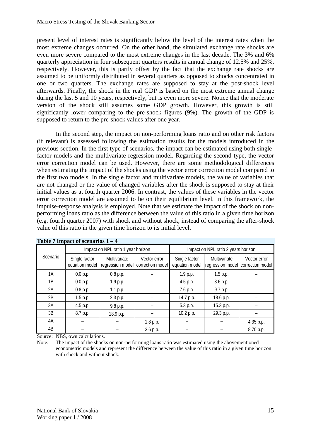present level of interest rates is significantly below the level of the interest rates when the most extreme changes occurred. On the other hand, the simulated exchange rate shocks are even more severe compared to the most extreme changes in the last decade. The 3% and 6% quarterly appreciation in four subsequent quarters results in annual change of 12.5% and 25%, respectively. However, this is partly offset by the fact that the exchange rate shocks are assumed to be uniformly distributed in several quarters as opposed to shocks concentrated in one or two quarters. The exchange rates are supposed to stay at the post-shock level afterwards. Finally, the shock in the real GDP is based on the most extreme annual change during the last 5 and 10 years, respectively, but is even more severe. Notice that the moderate version of the shock still assumes some GDP growth. However, this growth is still significantly lower comparing to the pre-shock figures (9%). The growth of the GDP is supposed to return to the pre-shock values after one year.

In the second step, the impact on non-performing loans ratio and on other risk factors (if relevant) is assessed following the estimation results for the models introduced in the previous section. In the first type of scenarios, the impact can be estimated using both singlefactor models and the multivariate regression model. Regarding the second type, the vector error correction model can be used. However, there are some methodological differences when estimating the impact of the shocks using the vector error correction model compared to the first two models. In the single factor and multivariate models, the value of variables that are not changed or the value of changed variables after the shock is supposed to stay at their initial values as at fourth quarter 2006. In contrast, the values of these variables in the vector error correction model are assumed to be on their equilibrium level. In this framework, the impulse-response analysis is employed. Note that we estimate the impact of the shock on nonperforming loans ratio as the difference between the value of this ratio in a given time horizon (e.g. fourth quarter 2007) with shock and without shock, instead of comparing the after-shock value of this ratio in the given time horizon to its initial level.

|          |                                                 | Impact on NPL ratio 1 year horizon |                                                   | Impact on NPL ratio 2 years horizon |                                  |                                  |  |
|----------|-------------------------------------------------|------------------------------------|---------------------------------------------------|-------------------------------------|----------------------------------|----------------------------------|--|
| Scenario | Multivariate<br>Single factor<br>equation model |                                    | Vector error<br>regression model correction model | Single factor<br>equation model     | Multivariate<br>regression model | Vector error<br>correction model |  |
| 1A       | 0.0 p.p.                                        | 0.8 p.p.                           |                                                   | 1.9 p.p.                            | 1.5 p.p.                         |                                  |  |
| 1B       | 0.0 p.p.                                        | 1.9 p.p.                           |                                                   | 4.5 p.p.                            | 3.6 p.p.                         |                                  |  |
| 2A       | 0.8 p.p.                                        | 1.1 p.p.                           |                                                   | 7.6 p.p.                            | 9.7 p.p.                         |                                  |  |
| 2B       | 1.5 p.p.                                        | 2.3 p.p.                           |                                                   | 14.7 p.p.                           | 18.6 p.p.                        |                                  |  |
| 3A       | 4.5 p.p.                                        | 9.8 p.p.                           |                                                   | 5.3 p.p.                            | 15.3 p.p.                        |                                  |  |
| 3B       | 8.7 p.p.                                        | 18.9 p.p.                          |                                                   | 10.2 p.p.                           | 29.3 p.p.                        |                                  |  |
| 4A       |                                                 |                                    | 1.8 p.p.                                          |                                     |                                  | 4.35 p.p.                        |  |
| 4B       |                                                 |                                    | 3.6 p.p.                                          |                                     |                                  | 8.70 p.p.                        |  |

Source: NBS, own calculations.

Note: The impact of the shocks on non-performing loans ratio was estimated using the abovementioned econometric models and represent the difference between the value of this ratio in a given time horizon with shock and without shock.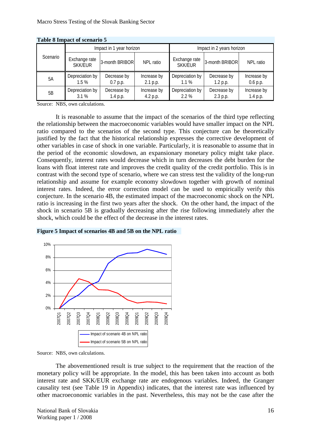| Table o Impact of scenario 5 |                                 |                           |                         |                                 |                         |                         |  |  |  |
|------------------------------|---------------------------------|---------------------------|-------------------------|---------------------------------|-------------------------|-------------------------|--|--|--|
|                              |                                 | Impact in 1 year horizon  |                         | Impact in 2 years horizon       |                         |                         |  |  |  |
| Scenario                     | Exchange rate<br><b>SKK/EUR</b> | 3-month BRIBOR            | NPL ratio               | Exchange rate<br><b>SKK/EUR</b> | 3-month BRIBOR          | NPL ratio               |  |  |  |
| 5A                           | Depreciation by<br>1.5%         | Decrease by<br>$0.7$ p.p. | Increase by<br>2.1 p.p. | Depreciation by<br>$1.1\%$      | Decrease by<br>1.2 p.p. | Increase by<br>0.6 p.p. |  |  |  |
| 5B                           | Depreciation by<br>3.1%         | Decrease by<br>1.4 p.p.   | Increase by<br>4.2 p.p. | Depreciation by<br>2.2%         | Decrease by<br>2.3 p.p. | Increase by<br>1.4 p.p. |  |  |  |

**Table 8 Impact of scenario 5** 

Source: NBS, own calculations.

It is reasonable to assume that the impact of the scenarios of the third type reflecting the relationship between the macroeconomic variables would have smaller impact on the NPL ratio compared to the scenarios of the second type. This conjecture can be theoretically justified by the fact that the historical relationship expresses the corrective development of other variables in case of shock in one variable. Particularly, it is reasonable to assume that in the period of the economic slowdown, an expansionary monetary policy might take place. Consequently, interest rates would decrease which in turn decreases the debt burden for the loans with float interest rate and improves the credit quality of the credit portfolio. This is in contrast with the second type of scenario, where we can stress test the validity of the long-run relationship and assume for example economy slowdown together with growth of nominal interest rates. Indeed, the error correction model can be used to empirically verify this conjecture. In the scenario 4B, the estimated impact of the macroeconomic shock on the NPL ratio is increasing in the first two years after the shock. On the other hand, the impact of the shock in scenario 5B is gradually decreasing after the rise following immediately after the shock, which could be the effect of the decrease in the interest rates.



**Figure 5 Impact of scenarios 4B and 5B on the NPL ratio** 

Source: NBS, own calculations.

The abovementioned result is true subject to the requirement that the reaction of the monetary policy will be appropriate. In the model, this has been taken into account as both interest rate and SKK/EUR exchange rate are endogenous variables. Indeed, the Granger causality test (see Table 19 in Appendix) indicates, that the interest rate was influenced by other macroeconomic variables in the past. Nevertheless, this may not be the case after the

National Bank of Slovakia16 Working paper 1 / 2008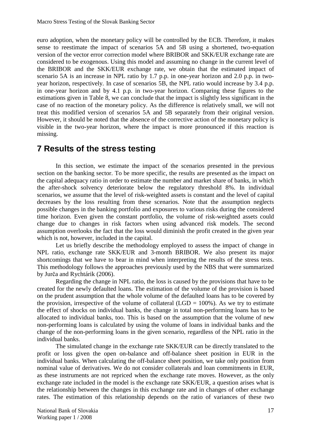euro adoption, when the monetary policy will be controlled by the ECB. Therefore, it makes sense to reestimate the impact of scenarios 5A and 5B using a shortened, two-equation version of the vector error correction model where BRIBOR and SKK/EUR exchange rate are considered to be exogenous. Using this model and assuming no change in the current level of the BRIBOR and the SKK/EUR exchange rate, we obtain that the estimated impact of scenario 5A is an increase in NPL ratio by 1.7 p.p. in one-year horizon and 2.0 p.p. in twoyear horizon, respectively. In case of scenarios 5B, the NPL ratio would increase by 3.4 p.p. in one-year horizon and by 4.1 p.p. in two-year horizon. Comparing these figures to the estimations given in Table 8, we can conclude that the impact is slightly less significant in the case of no reaction of the monetary policy. As the difference is relatively small, we will not treat this modified version of scenarios 5A and 5B separately from their original version. However, it should be noted that the absence of the corrective action of the monetary policy is visible in the two-year horizon, where the impact is more pronounced if this reaction is missing.

# **7 Results of the stress testing**

In this section, we estimate the impact of the scenarios presented in the previous section on the banking sector. To be more specific, the results are presented as the impact on the capital adequacy ratio in order to estimate the number and market share of banks, in which the after-shock solvency deteriorate below the regulatory threshold 8%. In individual scenarios, we assume that the level of risk-weighted assets is constant and the level of capital decreases by the loss resulting from these scenarios. Note that the assumption neglects possible changes in the banking portfolio and exposures to various risks during the considered time horizon. Even given the constant portfolio, the volume of risk-weighted assets could change due to changes in risk factors when using advanced risk models. The second assumption overlooks the fact that the loss would diminish the profit created in the given year which is not, however, included in the capital.

Let us briefly describe the methodology employed to assess the impact of change in NPL ratio, exchange rate SKK/EUR and 3-month BRIBOR. We also present its major shortcomings that we have to bear in mind when interpreting the results of the stress tests. This methodology follows the approaches previously used by the NBS that were summarized by Jurča and Rychtárik (2006).

Regarding the change in NPL ratio, the loss is caused by the provisions that have to be created for the newly defaulted loans. The estimation of the volume of the provision is based on the prudent assumption that the whole volume of the defaulted loans has to be covered by the provision, irrespective of the volume of collateral (LGD =  $100\%$ ). As we try to estimate the effect of shocks on individual banks, the change in total non-performing loans has to be allocated to individual banks, too. This is based on the assumption that the volume of new non-performing loans is calculated by using the volume of loans in individual banks and the change of the non-performing loans in the given scenario, regardless of the NPL ratio in the individual banks.

The simulated change in the exchange rate SKK/EUR can be directly translated to the profit or loss given the open on-balance and off-balance sheet position in EUR in the individual banks. When calculating the off-balance sheet position, we take only position from nominal value of derivatives. We do not consider collaterals and loan commitments in EUR, as these instruments are not repriced when the exchange rate moves. However, as the only exchange rate included in the model is the exchange rate SKK/EUR, a question arises what is the relationship between the changes in this exchange rate and in changes of other exchange rates. The estimation of this relationship depends on the ratio of variances of these two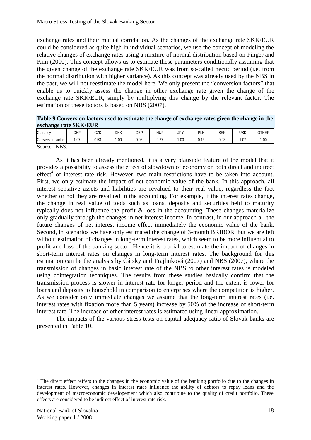exchange rates and their mutual correlation. As the changes of the exchange rate SKK/EUR could be considered as quite high in individual scenarios, we use the concept of modeling the relative changes of exchange rates using a mixture of normal distribution based on Finger and Kim (2000). This concept allows us to estimate these parameters conditionally assuming that the given change of the exchange rate SKK/EUR was from so-called hectic period (i.e. from the normal distribution with higher variance). As this concept was already used by the NBS in the past, we will not reestimate the model here. We only present the "conversion factors" that enable us to quickly assess the change in other exchange rate given the change of the exchange rate SKK/EUR, simply by multiplying this change by the relevant factor. The estimation of these factors is based on NBS (2007).

**Table 9 Conversion factors used to estimate the change of exchange rates given the change in the exchange rate SKK/EUR** 

| Currency             | CHF               | 07V<br>しんい            | DKK | GBP  | <b>HUF</b>  | IPY<br>◡ | PLN  | <b>SEK</b> | <b>USD</b> | OTHER |
|----------------------|-------------------|-----------------------|-----|------|-------------|----------|------|------------|------------|-------|
| Conversion factor    | $\sqrt{7}$<br>I.U | $\sim$<br>, h<br>ບ.ບບ | .00 | 0.93 | 0.27<br>U.Z | .00      | 0.13 | 0.93       | .07        | .00   |
| n<br>NBS.<br>Source: |                   |                       |     |      |             |          |      |            |            |       |

As it has been already mentioned, it is a very plausible feature of the model that it provides a possibility to assess the effect of slowdown of economy on both direct and indirect  $effect<sup>4</sup>$  of interest rate risk. However, two main restrictions have to be taken into account. First, we only estimate the impact of net economic value of the bank. In this approach, all interest sensitive assets and liabilities are revalued to their real value, regardless the fact whether or not they are revalued in the accounting. For example, if the interest rates change, the change in real value of tools such as loans, deposits and securities held to maturity typically does not influence the profit & loss in the accounting. These changes materialize only gradually through the changes in net interest income. In contrast, in our approach all the future changes of net interest income effect immediately the economic value of the bank. Second, in scenarios we have only estimated the change of 3-month BRIBOR, but we are left without estimation of changes in long-term interest rates, which seem to be more influential to profit and loss of the banking sector. Hence it is crucial to estimate the impact of changes in short-term interest rates on changes in long-term interest rates. The background for this estimation can be the analysis by Čársky and Trajlinková (2007) and NBS (2007), where the transmission of changes in basic interest rate of the NBS to other interest rates is modeled using cointegration techniques. The results from these studies basically confirm that the transmission process is slower in interest rate for longer period and the extent is lower for loans and deposits to household in comparison to enterprises where the competition is higher. As we consider only immediate changes we assume that the long-term interest rates (i.e. interest rates with fixation more than 5 years) increase by 50% of the increase of short-term interest rate. The increase of other interest rates is estimated using linear approximation.

The impacts of the various stress tests on capital adequacy ratio of Slovak banks are presented in Table 10.

<sup>&</sup>lt;sup>4</sup> The direct effect reffers to the changes in the economic value of the banking portfolio due to the changes in interest rates. However, changes in interest rates influence the ability of debtors to repay loans and the development of macroeconomic developement which also contribute to the quality of credit portfolio. These effects are considered to be indirect effect of interest rate risk.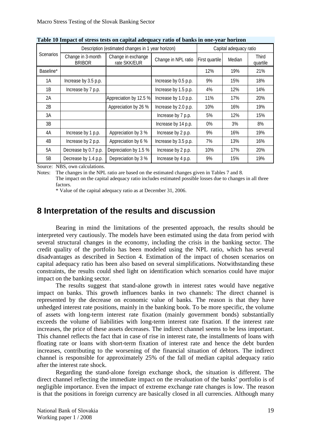| rabic ro mipact of stress tests on capital aucquacy ratio or banns in one year normon |                                    |                                                   |                      |                        |        |                   |
|---------------------------------------------------------------------------------------|------------------------------------|---------------------------------------------------|----------------------|------------------------|--------|-------------------|
|                                                                                       |                                    | Description (estimated changes in 1 year horizon) |                      | Capital adequacy ratio |        |                   |
| <b>Scenarios</b>                                                                      | Change in 3-month<br><b>BRIBOR</b> | Change in exchange<br>rate SKK/EUR                | Change in NPL ratio  | First quartile         | Median | Third<br>quartile |
| Baseline*                                                                             |                                    |                                                   |                      | 12%                    | 19%    | 21%               |
| 1A                                                                                    | Increase by 3.5 p.p.               |                                                   | Increase by 0.5 p.p. | 9%                     | 15%    | 18%               |
| 1B                                                                                    | Increase by 7 p.p.                 |                                                   | Increase by 1.5 p.p. | 4%                     | 12%    | 14%               |
| 2A                                                                                    |                                    | Appreciation by 12.5 %                            | Increase by 1.0 p.p. | 11%                    | 17%    | 20%               |
| 2B                                                                                    |                                    | Appreciation by 26 %                              | Increase by 2.0 p.p. | 10%                    | 16%    | 19%               |
| 3A                                                                                    |                                    |                                                   | Increase by 7 p.p.   | 5%                     | 12%    | 15%               |
| 3B                                                                                    |                                    |                                                   | Increase by 14 p.p.  | 0%                     | 3%     | 8%                |
| 4A                                                                                    | Increase by 1 p.p.                 | Appreciation by 3 %                               | Increase by 2 p.p.   | 9%                     | 16%    | 19%               |
| 4B                                                                                    | Increase by 2 p.p.                 | Appreciation by 6 %                               | Increase by 3.5 p.p. | 7%                     | 13%    | 16%               |
| 5A                                                                                    | Decrease by 0.7 p.p.               | Depreciation by 1.5 %                             | Increase by 2 p.p.   | 10%                    | 17%    | 20%               |
| 5B                                                                                    | Decrease by 1.4 p.p.               | Depreciation by 3 %                               | Increase by 4 p.p.   | 9%                     | 15%    | 19%               |

**Table 10 Impact of stress tests on capital adequacy ratio of banks in one-year horizon** 

Source: NBS, own calculations.

Notes: The changes in the NPL ratio are based on the estimated changes given in Tables 7 and 8.

The impact on the capital adequacy ratio includes estimated possible losses due to changes in all three factors.

\* Value of the capital adequacy ratio as at December 31, 2006.

# **8 Interpretation of the results and discussion**

Bearing in mind the limitations of the presented approach, the results should be interpreted very cautiously. The models have been estimated using the data from period with several structural changes in the economy, including the crisis in the banking sector. The credit quality of the portfolio has been modeled using the NPL ratio, which has several disadvantages as described in Section 4. Estimation of the impact of chosen scenarios on capital adequacy ratio has been also based on several simplifications. Notwithstanding these constraints, the results could shed light on identification which scenarios could have major impact on the banking sector.

The results suggest that stand-alone growth in interest rates would have negative impact on banks. This growth influences banks in two channels: The direct channel is represented by the decrease on economic value of banks. The reason is that they have unhedged interest rate positions, mainly in the banking book. To be more specific, the volume of assets with long-term interest rate fixation (mainly government bonds) substantially exceeds the volume of liabilities with long-term interest rate fixation. If the interest rate increases, the price of these assets decreases. The indirect channel seems to be less important. This channel reflects the fact that in case of rise in interest rate, the installments of loans with floating rate or loans with short-term fixation of interest rate and hence the debt burden increases, contributing to the worsening of the financial situation of debtors. The indirect channel is responsible for approximately 25% of the fall of median capital adequacy ratio after the interest rate shock.

Regarding the stand-alone foreign exchange shock, the situation is different. The direct channel reflecting the immediate impact on the revaluation of the banks' portfolio is of negligible importance. Even the impact of extreme exchange rate changes is low. The reason is that the positions in foreign currency are basically closed in all currencies. Although many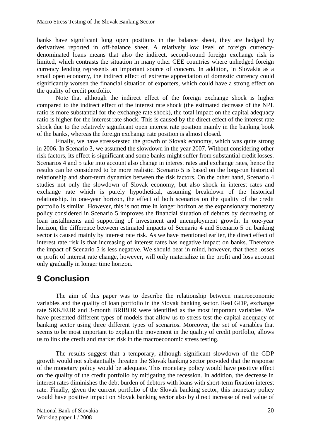banks have significant long open positions in the balance sheet, they are hedged by derivatives reported in off-balance sheet. A relatively low level of foreign currencydenominated loans means that also the indirect, second-round foreign exchange risk is limited, which contrasts the situation in many other CEE countries where unhedged foreign currency lending represents an important source of concern. In addition, in Slovakia as a small open economy, the indirect effect of extreme appreciation of domestic currency could significantly worsen the financial situation of exporters, which could have a strong effect on the quality of credit portfolio.

Note that although the indirect effect of the foreign exchange shock is higher compared to the indirect effect of the interest rate shock (the estimated decrease of the NPL ratio is more substantial for the exchange rate shock), the total impact on the capital adequacy ratio is higher for the interest rate shock. This is caused by the direct effect of the interest rate shock due to the relatively significant open interest rate position mainly in the banking book of the banks, whereas the foreign exchange rate position is almost closed.

Finally, we have stress-tested the growth of Slovak economy, which was quite strong in 2006. In Scenario 3, we assumed the slowdown in the year 2007. Without considering other risk factors, its effect is significant and some banks might suffer from substantial credit losses. Scenarios 4 and 5 take into account also change in interest rates and exchange rates, hence the results can be considered to be more realistic. Scenario 5 is based on the long-run historical relationship and short-term dynamics between the risk factors. On the other hand, Scenario 4 studies not only the slowdown of Slovak economy, but also shock in interest rates and exchange rate which is purely hypothetical, assuming breakdown of the historical relationship. In one-year horizon, the effect of both scenarios on the quality of the credit portfolio is similar. However, this is not true in longer horizon as the expansionary monetary policy considered in Scenario 5 improves the financial situation of debtors by decreasing of loan installments and supporting of investment and unemployment growth. In one-year horizon, the difference between estimated impacts of Scenario 4 and Scenario 5 on banking sector is caused mainly by interest rate risk. As we have mentioned earlier, the direct effect of interest rate risk is that increasing of interest rates has negative impact on banks. Therefore the impact of Scenario 5 is less negative. We should bear in mind, however, that these losses or profit of interest rate change, however, will only materialize in the profit and loss account only gradually in longer time horizon.

# **9 Conclusion**

The aim of this paper was to describe the relationship between macroeconomic variables and the quality of loan portfolio in the Slovak banking sector. Real GDP, exchange rate SKK/EUR and 3-month BRIBOR were identified as the most important variables. We have presented different types of models that allow us to stress test the capital adequacy of banking sector using three different types of scenarios. Moreover, the set of variables that seems to be most important to explain the movement in the quality of credit portfolio, allows us to link the credit and market risk in the macroeconomic stress testing.

The results suggest that a temporary, although significant slowdown of the GDP growth would not substantially threaten the Slovak banking sector provided that the response of the monetary policy would be adequate. This monetary policy would have positive effect on the quality of the credit portfolio by mitigating the recession. In addition, the decrease in interest rates diminishes the debt burden of debtors with loans with short-term fixation interest rate. Finally, given the current portfolio of the Slovak banking sector, this monetary policy would have positive impact on Slovak banking sector also by direct increase of real value of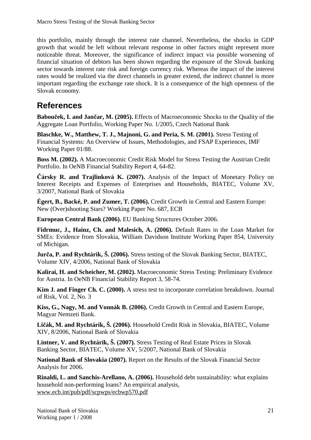this portfolio, mainly through the interest rate channel. Nevertheless, the shocks in GDP growth that would be left without relevant response in other factors might represent more noticeable threat. Moreover, the significance of indirect impact via possible worsening of financial situation of debtors has been shown regarding the exposure of the Slovak banking sector towards interest rate risk and foreign currency risk. Whereas the impact of the interest rates would be realized via the direct channels in greater extend, the indirect channel is more important regarding the exchange rate shock. It is a consequence of the high openness of the Slovak economy.

# **References**

**Babouček, I. and Jančar, M. (2005).** Effects of Macroeconomic Shocks to the Quality of the Aggregate Loan Portfolio, Working Paper No. 1/2005, Czech National Bank

**Blaschke, W., Matthew, T. J., Majnoni, G. and Peria, S. M. (2001).** Stress Testing of Financial Systems: An Overview of Issues, Methodologies, and FSAP Experiences, IMF Working Paper 01/88.

**Boss M. (2002).** A Macroeconomic Credit Risk Model for Stress Testing the Austrian Credit Portfolio. In OeNB Financial Stability Report 4, 64-82.

**Čársky R. and Trajlinková K. (2007).** Analysis of the Impact of Monetary Policy on Interest Receipts and Expenses of Enterprises and Households, BIATEC, Volume XV, 3/2007, National Bank of Slovakia

**Égert, B., Backé, P. and Zumer, T. (2006).** Credit Growth in Central and Eastern Europe: New (Over)shooting Stars? Working Paper No. 687, ECB

**European Central Bank (2006).** EU Banking Structures October 2006.

**Fidrmuc, J., Hainz, Ch. and Malesich, A. (2006).** Default Rates in the Loan Market for SMEs: Evidence from Slovakia, William Davidson Institute Working Paper 854, University of Michigan.

**Jurča, P. and Rychtárik, Š. (2006).** Stress testing of the Slovak Banking Sector, BIATEC, Volume XIV, 4/2006, National Bank of Slovakia

**Kalirai, H. and Scheicher, M. (2002).** Macroeconomic Stress Testing: Preliminary Evidence for Austria. In OeNB Financial Stability Report 3, 58-74.

**Kim J. and Finger Ch. C. (2000).** A stress test to incorporate correlation breakdown. Journal of Risk, Vol. 2, No. 3

**Kiss, G., Nagy, M. and Vonnák B. (2006).** Credit Growth in Central and Eastern Europe, Magyar Nemzeti Bank.

**Ličák, M. and Rychtárik, Š. (2006).** Household Credit Risk in Slovakia, BIATEC, Volume XIV, 8/2006, National Bank of Slovakia

**Lintner, V. and Rychtárik, Š. (2007).** Stress Testing of Real Estate Prices in Slovak Banking Sector, BIATEC, Volume XV, 5/2007, National Bank of Slovakia

**National Bank of Slovakia (2007).** Report on the Results of the Slovak Financial Sector Analysis for 2006.

**Rinaldi, L. and Sanchis-Arellano, A. (2006).** Household debt sustainability: what explains household non-performing loans? An empirical analysis, [www.ecb.int/pub/pdf/scpwps/ecbwp570.pdf](http://www.ecb.int/pub/pdf/scpwps/ecbwp570.pdf)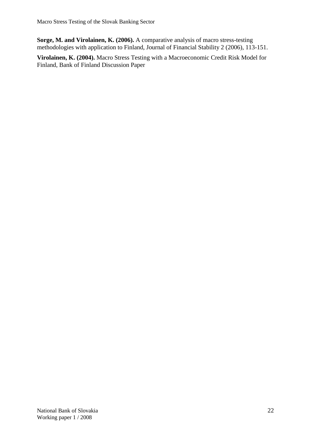**Sorge, M. and Virolainen, K. (2006).** A comparative analysis of macro stress-testing methodologies with application to Finland, Journal of Financial Stability 2 (2006), 113-151.

**Virolainen, K. (2004).** Macro Stress Testing with a Macroeconomic Credit Risk Model for Finland, Bank of Finland Discussion Paper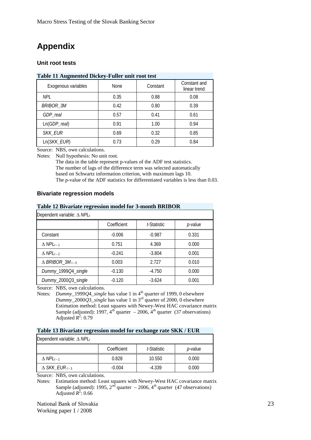# **Appendix**

### **Unit root tests**

#### **Table 11 Augmented Dickey-Fuller unit root test**

| Exogenous variables | None | Constant | Constant and<br>linear trend |
|---------------------|------|----------|------------------------------|
| <b>NPL</b>          | 0.35 | 0.88     | 0.08                         |
| <b>BRIBOR_3M</b>    | 0.42 | 0.80     | 0.39                         |
| GDP_real            | 0.57 | 0.41     | 0.61                         |
| $Ln(GDP_{real})$    | 0.91 | 1.00     | 0.94                         |
| <b>SKK_EUR</b>      | 0.69 | 0.32     | 0.85                         |
| Ln(SKK_EUR)         | 0.73 | 0.29     | 0.84                         |

Source: NBS, own calculations.

Notes: Null hypothesis: No unit root.

The data in the table represent p-values of the ADF test statistics. The number of lags of the difference term was selected automatically based on Schwartz information criterion, with maximum lags 10. The p-value of the ADF statistics for differentiated variables is less than 0.03.

#### **Bivariate regression models**

#### **Table 12 Bivariate regression model for 3-month BRIBOR**

| Dependent variable: $\Delta$ NPL <sub>t</sub> |             |             |                 |  |  |
|-----------------------------------------------|-------------|-------------|-----------------|--|--|
|                                               | Coefficient | t-Statistic | <i>p</i> -value |  |  |
| Constant                                      | $-0.006$    | $-0.987$    | 0.331           |  |  |
| $\triangle$ NPL <sub>t-1</sub>                | 0.751       | 4.369       | 0.000           |  |  |
| $\triangle$ NPL <sub>t-2</sub>                | $-0.241$    | $-3.804$    | 0.001           |  |  |
| $\triangle$ BRIBOR_3M <sub>t-5</sub>          | 0.003       | 2.727       | 0.010           |  |  |
| Dummy_1999Q4_single                           | $-0.130$    | $-4.750$    | 0.000           |  |  |
| Dummy_2000Q3_single                           | $-0.120$    | $-3.624$    | 0.001           |  |  |

Source: NBS, own calculations.

Notes: *Dummy*\_1999*Q*4\_*single* has value 1 in 4<sup>th</sup> quarter of 1999, 0 elsewhere *Dummy*\_2000*Q*3\_*single* has value 1 in 3rd quarter of 2000, 0 elsewhere Estimation method: Least squares with Newey-West HAC covariance matrix Sample (adjusted): 1997,  $4^{th}$  quarter – 2006,  $4^{th}$  quarter (37 observations) Adjusted  $R^2$ : 0.79

#### **Table 13 Bivariate regression model for exchange rate SKK / EUR**

| Dependent variable: $\Delta$ NPL <sub>t</sub> |             |             |                 |  |  |  |  |
|-----------------------------------------------|-------------|-------------|-----------------|--|--|--|--|
|                                               | Coefficient | t-Statistic | <i>p</i> -value |  |  |  |  |
| $\Delta$ NPL <sub>t-1</sub>                   | 0.828       | 10.550      | 0.000           |  |  |  |  |
| $\Delta$ SKK_EUR $_{t-3}$                     | $-0.004$    | $-4.339$    | 0.000           |  |  |  |  |

Source: NBS, own calculations.

Notes: Estimation method: Least squares with Newey-West HAC covariance matrix Sample (adjusted): 1995,  $2<sup>nd</sup>$  quarter – 2006,  $4<sup>th</sup>$  quarter (47 observations) Adjusted  $\overrightarrow{R}$ <sup>2</sup>: 0.66

National Bank of Slovakia23 Working paper 1 / 2008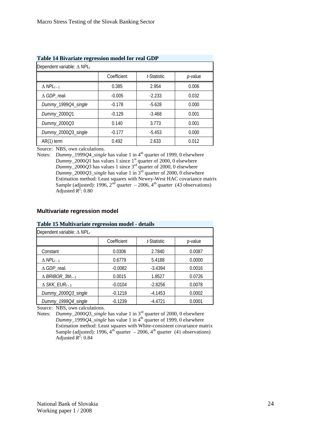| Table 14 Divariate regression model for real GDT |             |         |  |  |  |  |  |
|--------------------------------------------------|-------------|---------|--|--|--|--|--|
| Dependent variable: $\Delta$ NPL <sub>t</sub>    |             |         |  |  |  |  |  |
| Coefficient                                      | t-Statistic | p-value |  |  |  |  |  |
| 0.385                                            | 2.954       | 0.006   |  |  |  |  |  |
| $-0.005$                                         | $-2.233$    | 0.032   |  |  |  |  |  |
| $-0.178$                                         | $-5.628$    | 0.000   |  |  |  |  |  |
| $-0.129$                                         | $-3.468$    | 0.001   |  |  |  |  |  |
| 0.140                                            | 3.773       | 0.001   |  |  |  |  |  |
| $-0.177$                                         | $-5.453$    | 0.000   |  |  |  |  |  |
| 0.492                                            | 2.633       | 0.012   |  |  |  |  |  |
|                                                  |             |         |  |  |  |  |  |

**Table 14 Bivariate regression model for real GDP** 

Source: NBS, own calculations.

Notes: *Dummy*\_1999*Q*4\_*single* has value 1 in 4<sup>th</sup> quarter of 1999, 0 elsewhere *Dummy*\_2000*Q*1 has values 1 since  $1<sup>st</sup>$  quarter of 2000, 0 elsewhere *Dummy* 2000*Q*3 has values 1 since  $3^{rd}$  quarter of 2000, 0 elsewhere *Dummy*\_2000*Q*3\_*single* has value 1 in 3rd quarter of 2000, 0 elsewhere Estimation method: Least squares with Newey-West HAC covariance matrix Sample (adjusted): 1996,  $2<sup>nd</sup>$  quarter  $-2006$ ,  $4<sup>th</sup>$  quarter (43 observations) Adjusted  $R^2$ : 0.80

#### **Multivariate regression model**

#### **Table 15 Multivariate regression model - details**

| Dependent variable: $\Delta$ NPL <sub>t</sub> |             |             |         |  |  |
|-----------------------------------------------|-------------|-------------|---------|--|--|
|                                               | Coefficient | t-Statistic | p-value |  |  |
| Constant                                      | 0.0306      | 2.7840      | 0.0087  |  |  |
| $\triangle$ NPL <sub>t-1</sub>                | 0.6779      | 5.4188      | 0.0000  |  |  |
| $\triangle$ GDP_realt                         | $-0.0082$   | $-3.4394$   | 0.0016  |  |  |
| $\triangle$ BRIBOR_3M <sub>t-1</sub>          | 0.0015      | 1.8527      | 0.0726  |  |  |
| $\triangle$ SKK_EUR <sub>t-3</sub>            | $-0.0104$   | $-2.8256$   | 0.0078  |  |  |
| Dummy_2000Q3_single                           | $-0.1218$   | $-4.1453$   | 0.0002  |  |  |
| Dummy_1999Q4_single                           | $-0.1239$   | $-4.4721$   | 0.0001  |  |  |

Source: NBS, own calculations.

Notes: *Dummy*\_2000*Q*3\_*single* has value 1 in 3rd quarter of 2000, 0 elsewhere *Dummy*\_1999*Q*4\_*single* has value 1 in 4th quarter of 1999, 0 elsewhere Estimation method: Least squares with White-consistent covariance matrix Sample (adjusted): 1996,  $4^{th}$  quarter  $-2006$ ,  $4^{th}$  quarter (41 observations) Adjusted  $\mathbb{R}^2$ : 0.84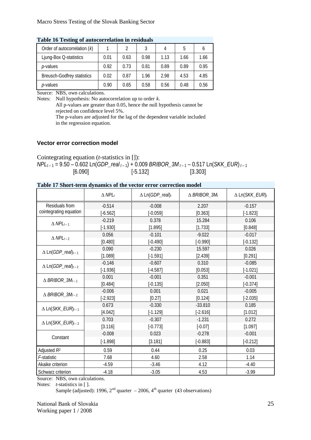| Table To Testing of autocorrelation in residuals |      |      |      |      |      |      |  |  |
|--------------------------------------------------|------|------|------|------|------|------|--|--|
| Order of autocorrelation $(k)$                   |      | 2    | 3    | 4    | 5    |      |  |  |
| Ljung-Box Q-statistics                           | 0.01 | 0.63 | 0.98 | 1.13 | 1.66 | 1.66 |  |  |
| <i>p</i> -values                                 | 0.92 | 0.73 | 0.81 | 0.89 | 0.89 | 0.95 |  |  |
| <b>Breusch-Godfrey statistics</b>                | 0.02 | 0.87 | 1.96 | 2.98 | 4.53 | 4.85 |  |  |
| <i>p</i> -values                                 | 0.90 | 0.65 | 0.58 | 0.56 | 0.48 | 0.56 |  |  |

**Table 16 Testing of autocorrelation in residuals** 

Source: NBS, own calculations.

Notes: Null hypothesis: No autocorrelation up to order *k*.

All p-values are greater than 0.05, hence the null hypothesis cannot be rejected on confidence level 5%.

The p-values are adjusted for the lag of the dependent variable included in the regression equation.

#### **Vector error correction model**

Cointegrating equation (*t*-statistics in []):

*NPLt* – 1 = 9.50 – 0.602 Ln(*GDP\_real t* – 1) + 0.009 *BRIBOR\_3M t* – 1 – 0.517 Ln(*SKK\_EUR*) *t* – 1  $[6.090]$   $[-5.132]$   $[3.303]$ 

### **Table 17 Short-term dynamics of the vector error correction model**

|                                        | $\triangle$ NPL <sub>t</sub> | $\Delta$ Ln(GDP_real)t | $\triangle$ BRIBOR_3Mt | $\Delta$ Ln(SKK_EUR) <sub>t</sub> |
|----------------------------------------|------------------------------|------------------------|------------------------|-----------------------------------|
| <b>Residuals from</b>                  | $-0.514$                     | $-0.008$               | 2.207                  | $-0.157$                          |
| cointegrating equation                 | $[-6.562]$                   | $[-0.059]$             | [0.363]                | $[-1.823]$                        |
| $\triangle$ NPL <sub>t-1</sub>         | $-0.219$                     | 0.378                  | 15.284                 | 0.106                             |
|                                        | $[-1.930]$                   | [1.895]                | [1.733]                | [0.848]                           |
| $\triangle$ NPL <sub>t-2</sub>         | 0.056                        | $-0.101$               | $-9.022$               | $-0.017$                          |
|                                        | [0.480]                      | $[-0.490]$             | $[-0.990]$             | $[-0.132]$                        |
| $\Delta$ Ln(GDP_real) <sub>t-1</sub>   | 0.090                        | $-0.230$               | 15.597                 | 0.026                             |
|                                        | [1.089]                      | $[-1.591]$             | [2.439]                | [0.291]                           |
| $\Delta$ Ln(GDP_real) <sub>t-2</sub>   | $-0.146$                     | $-0.607$               | 0.310                  | $-0.085$                          |
|                                        | $[-1.936]$                   | $[-4.587]$             | [0.053]                | $[-1.021]$                        |
| $\triangle$ BRIBOR_3M <sub>t-1</sub>   | 0.001                        | $-0.001$               | 0.351                  | $-0.001$                          |
|                                        | [0.484]                      | $[-0.135]$             | [2.050]                | $[-0.374]$                        |
| $\triangle$ BRIBOR_3M <sub>t-2</sub>   | $-0.006$                     | 0.001                  | 0.021                  | $-0.005$                          |
|                                        | $[-2.923]$                   | [0.27]                 | [0.124]                | $[-2.035]$                        |
| $\Delta$ Ln(SKK_EUR) <sub>t-1</sub>    | 0.673                        | $-0.330$               | $-33.810$              | 0.185                             |
|                                        | [4.042]                      | $[-1.129]$             | $[-2.616]$             | [1.012]                           |
| $\triangle$ Ln(SKK_EUR) <sub>t-2</sub> | 0.703                        | $-0.307$               | $-1.231$               | 0.272                             |
|                                        | [3.116]                      | $[-0.773]$             | $[-0.07]$              | [1.097]                           |
|                                        | $-0.008$                     | 0.023                  | $-0.278$               | $-0.001$                          |
| Constant                               | $[-1.898]$                   | [3.181]                | $[-0.883]$             | $[-0.212]$                        |
| Adjusted $R^2$                         | 0.59                         | 0.44                   | 0.25                   | 0.03                              |
| F-statistic                            | 7.68                         | 4.60                   | 2.58                   | 1.14                              |
| Akaike criterion                       | $-4.59$                      | $-3.46$                | 4.12                   | $-4.40$                           |
| Schwarz criterion                      | $-4.18$                      | $-3.05$                | 4.53                   | $-3.99$                           |

Source: NBS, own calculations.

Notes: *t*-statistics in [ ].

Sample (adjusted): 1996,  $2<sup>nd</sup>$  quarter  $-2006$ ,  $4<sup>th</sup>$  quarter (43 observations)

National Bank of Slovakia25 Working paper 1 / 2008